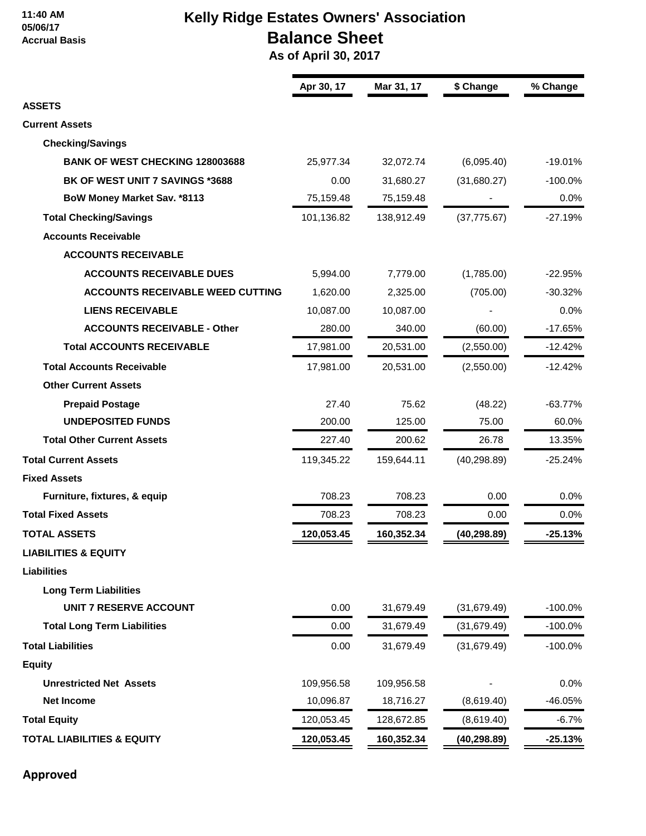#### **11:40 AM 05/06/17 Accrual Basis**

# **Kelly Ridge Estates Owners' Association Balance Sheet**

 **As of April 30, 2017**

| <b>ASSETS</b><br><b>Current Assets</b>  | Apr 30, 17 | Mar 31, 17 | \$ Change    | % Change   |
|-----------------------------------------|------------|------------|--------------|------------|
|                                         |            |            |              |            |
|                                         |            |            |              |            |
|                                         |            |            |              |            |
| <b>Checking/Savings</b>                 |            |            |              |            |
| <b>BANK OF WEST CHECKING 128003688</b>  | 25,977.34  | 32,072.74  | (6,095.40)   | $-19.01%$  |
| BK OF WEST UNIT 7 SAVINGS *3688         | 0.00       | 31,680.27  | (31,680.27)  | $-100.0%$  |
| BoW Money Market Sav. *8113             | 75,159.48  | 75,159.48  |              | 0.0%       |
| <b>Total Checking/Savings</b>           | 101,136.82 | 138,912.49 | (37, 775.67) | $-27.19%$  |
| <b>Accounts Receivable</b>              |            |            |              |            |
| <b>ACCOUNTS RECEIVABLE</b>              |            |            |              |            |
| <b>ACCOUNTS RECEIVABLE DUES</b>         | 5,994.00   | 7,779.00   | (1,785.00)   | $-22.95%$  |
| <b>ACCOUNTS RECEIVABLE WEED CUTTING</b> | 1,620.00   | 2,325.00   | (705.00)     | $-30.32%$  |
| <b>LIENS RECEIVABLE</b>                 | 10,087.00  | 10,087.00  |              | 0.0%       |
| <b>ACCOUNTS RECEIVABLE - Other</b>      | 280.00     | 340.00     | (60.00)      | $-17.65%$  |
| <b>Total ACCOUNTS RECEIVABLE</b>        | 17,981.00  | 20,531.00  | (2,550.00)   | $-12.42%$  |
| <b>Total Accounts Receivable</b>        | 17,981.00  | 20,531.00  | (2,550.00)   | $-12.42%$  |
| <b>Other Current Assets</b>             |            |            |              |            |
| <b>Prepaid Postage</b>                  | 27.40      | 75.62      | (48.22)      | $-63.77%$  |
| <b>UNDEPOSITED FUNDS</b>                | 200.00     | 125.00     | 75.00        | 60.0%      |
| <b>Total Other Current Assets</b>       | 227.40     | 200.62     | 26.78        | 13.35%     |
| <b>Total Current Assets</b>             | 119,345.22 | 159,644.11 | (40, 298.89) | $-25.24%$  |
| <b>Fixed Assets</b>                     |            |            |              |            |
| Furniture, fixtures, & equip            | 708.23     | 708.23     | 0.00         | 0.0%       |
| <b>Total Fixed Assets</b>               | 708.23     | 708.23     | 0.00         | 0.0%       |
| <b>TOTAL ASSETS</b>                     | 120,053.45 | 160,352.34 | (40, 298.89) | $-25.13%$  |
| <b>LIABILITIES &amp; EQUITY</b>         |            |            |              |            |
| <b>Liabilities</b>                      |            |            |              |            |
| <b>Long Term Liabilities</b>            |            |            |              |            |
| <b>UNIT 7 RESERVE ACCOUNT</b>           | 0.00       | 31,679.49  | (31,679.49)  | $-100.0%$  |
| <b>Total Long Term Liabilities</b>      | 0.00       | 31,679.49  | (31,679.49)  | $-100.0\%$ |
| <b>Total Liabilities</b>                | 0.00       | 31,679.49  | (31,679.49)  | $-100.0%$  |
| <b>Equity</b>                           |            |            |              |            |
| <b>Unrestricted Net Assets</b>          | 109,956.58 | 109,956.58 |              | 0.0%       |
| <b>Net Income</b>                       | 10,096.87  | 18,716.27  | (8,619.40)   | -46.05%    |
| <b>Total Equity</b>                     | 120,053.45 | 128,672.85 | (8,619.40)   | $-6.7\%$   |
| <b>TOTAL LIABILITIES &amp; EQUITY</b>   | 120,053.45 | 160,352.34 | (40, 298.89) | $-25.13%$  |

**Approved**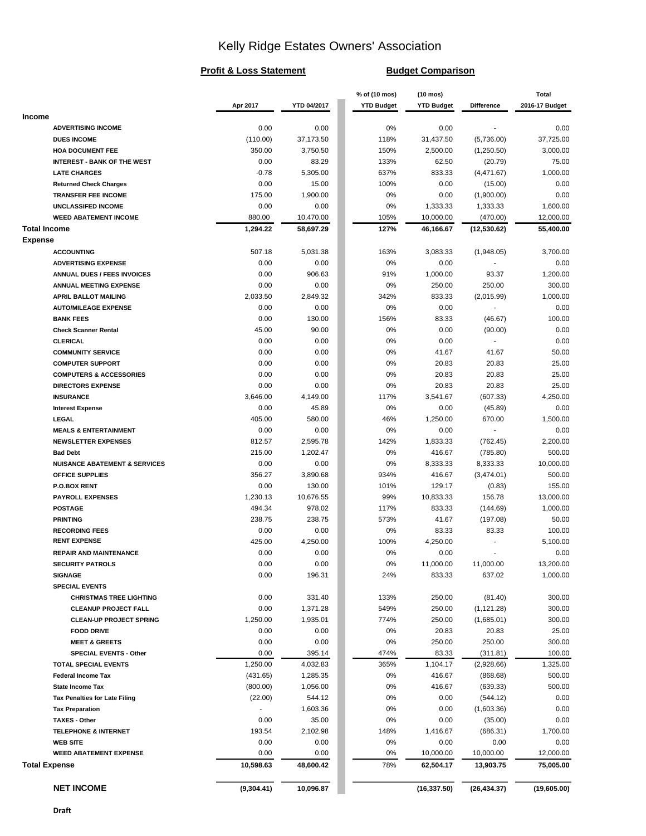# Kelly Ridge Estates Owners' Association

#### **Profit & Loss Statement Budget Comparison**

|                                                                |            |             | % of (10 mos)     | $(10 \text{ mos})$ |              | <b>Total</b>   |
|----------------------------------------------------------------|------------|-------------|-------------------|--------------------|--------------|----------------|
|                                                                | Apr 2017   | YTD 04/2017 | <b>YTD Budget</b> | <b>YTD Budget</b>  | Difference   | 2016-17 Budget |
| <b>Income</b>                                                  |            |             |                   |                    |              |                |
| <b>ADVERTISING INCOME</b>                                      | 0.00       | 0.00        | 0%                | 0.00               |              | 0.00           |
| <b>DUES INCOME</b>                                             | (110.00)   | 37,173.50   | 118%              | 31,437.50          | (5,736.00)   | 37,725.00      |
| <b>HOA DOCUMENT FEE</b>                                        | 350.00     | 3,750.50    | 150%              | 2,500.00           | (1,250.50)   | 3,000.00       |
| <b>INTEREST - BANK OF THE WEST</b>                             | 0.00       | 83.29       | 133%              | 62.50              | (20.79)      | 75.00          |
| <b>LATE CHARGES</b>                                            | $-0.78$    | 5,305.00    | 637%              | 833.33             | (4, 471.67)  | 1,000.00       |
| <b>Returned Check Charges</b>                                  | 0.00       | 15.00       | 100%              | 0.00               | (15.00)      | 0.00           |
| <b>TRANSFER FEE INCOME</b>                                     | 175.00     | 1,900.00    | 0%                | 0.00               | (1,900.00)   | 0.00           |
| UNCLASSIFED INCOME                                             | 0.00       | 0.00        | 0%                | 1,333.33           | 1,333.33     | 1,600.00       |
| <b>WEED ABATEMENT INCOME</b>                                   | 880.00     | 10,470.00   | 105%              | 10,000.00          | (470.00)     | 12,000.00      |
| <b>Total Income</b>                                            | 1,294.22   | 58,697.29   | 127%              | 46,166.67          | (12, 530.62) | 55,400.00      |
| <b>Expense</b>                                                 |            |             |                   |                    |              |                |
| <b>ACCOUNTING</b>                                              | 507.18     | 5,031.38    | 163%              | 3,083.33           | (1,948.05)   | 3,700.00       |
| <b>ADVERTISING EXPENSE</b>                                     | 0.00       | 0.00        | 0%                | 0.00               |              | 0.00           |
| <b>ANNUAL DUES / FEES INVOICES</b>                             | 0.00       | 906.63      | 91%               | 1,000.00           | 93.37        | 1,200.00       |
| ANNUAL MEETING EXPENSE                                         | 0.00       | 0.00        | 0%                | 250.00             | 250.00       | 300.00         |
| <b>APRIL BALLOT MAILING</b>                                    | 2,033.50   | 2,849.32    | 342%              | 833.33             | (2,015.99)   | 1,000.00       |
| <b>AUTO/MILEAGE EXPENSE</b>                                    | 0.00       | 0.00        | 0%                | 0.00               |              | 0.00           |
| <b>BANK FEES</b>                                               | 0.00       | 130.00      | 156%              | 83.33              | (46.67)      | 100.00         |
| <b>Check Scanner Rental</b>                                    | 45.00      | 90.00       | 0%                | 0.00               | (90.00)      | 0.00           |
| <b>CLERICAL</b>                                                | 0.00       | 0.00        | 0%                | 0.00               |              | 0.00           |
| <b>COMMUNITY SERVICE</b>                                       | 0.00       | 0.00        | 0%                | 41.67              | 41.67        | 50.00          |
| <b>COMPUTER SUPPORT</b>                                        | 0.00       | 0.00        | 0%                | 20.83              | 20.83        | 25.00          |
|                                                                | 0.00       | 0.00        | 0%                | 20.83              | 20.83        | 25.00          |
| <b>COMPUTERS &amp; ACCESSORIES</b><br><b>DIRECTORS EXPENSE</b> |            |             |                   |                    |              |                |
|                                                                | 0.00       | 0.00        | 0%                | 20.83              | 20.83        | 25.00          |
| <b>INSURANCE</b>                                               | 3,646.00   | 4,149.00    | 117%              | 3,541.67           | (607.33)     | 4,250.00       |
| <b>Interest Expense</b>                                        | 0.00       | 45.89       | 0%                | 0.00               | (45.89)      | 0.00           |
| LEGAL                                                          | 405.00     | 580.00      | 46%               | 1,250.00           | 670.00       | 1,500.00       |
| <b>MEALS &amp; ENTERTAINMENT</b>                               | 0.00       | 0.00        | 0%                | 0.00               |              | 0.00           |
| <b>NEWSLETTER EXPENSES</b>                                     | 812.57     | 2,595.78    | 142%              | 1,833.33           | (762.45)     | 2,200.00       |
| <b>Bad Debt</b>                                                | 215.00     | 1,202.47    | 0%                | 416.67             | (785.80)     | 500.00         |
| <b>NUISANCE ABATEMENT &amp; SERVICES</b>                       | 0.00       | 0.00        | 0%                | 8,333.33           | 8,333.33     | 10,000.00      |
| OFFICE SUPPLIES                                                | 356.27     | 3,890.68    | 934%              | 416.67             | (3,474.01)   | 500.00         |
| P.O.BOX RENT                                                   | 0.00       | 130.00      | 101%              | 129.17             | (0.83)       | 155.00         |
| <b>PAYROLL EXPENSES</b>                                        | 1,230.13   | 10,676.55   | 99%               | 10,833.33          | 156.78       | 13,000.00      |
| <b>POSTAGE</b>                                                 | 494.34     | 978.02      | 117%              | 833.33             | (144.69)     | 1,000.00       |
| <b>PRINTING</b>                                                | 238.75     | 238.75      | 573%              | 41.67              | (197.08)     | 50.00          |
| <b>RECORDING FEES</b>                                          | 0.00       | 0.00        | 0%                | 83.33              | 83.33        | 100.00         |
| <b>RENT EXPENSE</b>                                            | 425.00     | 4,250.00    | 100%              | 4,250.00           |              | 5,100.00       |
| <b>REPAIR AND MAINTENANCE</b>                                  | 0.00       | 0.00        | 0%                | 0.00               |              | 0.00           |
| <b>SECURITY PATROLS</b>                                        | 0.00       | 0.00        | 0%                | 11,000.00          | 11,000.00    | 13,200.00      |
| <b>SIGNAGE</b>                                                 | 0.00       | 196.31      | 24%               | 833.33             | 637.02       | 1,000.00       |
| <b>SPECIAL EVENTS</b>                                          |            |             |                   |                    |              |                |
| <b>CHRISTMAS TREE LIGHTING</b>                                 | 0.00       | 331.40      | 133%              | 250.00             | (81.40)      | 300.00         |
| <b>CLEANUP PROJECT FALL</b>                                    | 0.00       | 1,371.28    | 549%              | 250.00             | (1, 121.28)  | 300.00         |
| <b>CLEAN-UP PROJECT SPRING</b>                                 | 1,250.00   | 1,935.01    | 774%              | 250.00             | (1,685.01)   | 300.00         |
| <b>FOOD DRIVE</b>                                              | 0.00       | 0.00        | 0%                | 20.83              | 20.83        | 25.00          |
| <b>MEET &amp; GREETS</b>                                       | 0.00       | 0.00        | 0%                | 250.00             | 250.00       | 300.00         |
| <b>SPECIAL EVENTS - Other</b>                                  | 0.00       | 395.14      | 474%              | 83.33              | (311.81)     | 100.00         |
| <b>TOTAL SPECIAL EVENTS</b>                                    | 1,250.00   | 4,032.83    | 365%              | 1,104.17           | (2,928.66)   | 1,325.00       |
| <b>Federal Income Tax</b>                                      | (431.65)   | 1,285.35    | 0%                | 416.67             | (868.68)     | 500.00         |
| State Income Tax                                               | (800.00)   | 1,056.00    | 0%                | 416.67             | (639.33)     | 500.00         |
| <b>Tax Penalties for Late Filing</b>                           | (22.00)    | 544.12      | 0%                | 0.00               | (544.12)     | 0.00           |
| <b>Tax Preparation</b>                                         |            | 1,603.36    | 0%                | 0.00               | (1,603.36)   | 0.00           |
| <b>TAXES - Other</b>                                           | 0.00       | 35.00       | 0%                | 0.00               | (35.00)      | 0.00           |
| <b>TELEPHONE &amp; INTERNET</b>                                | 193.54     | 2,102.98    | 148%              | 1,416.67           | (686.31)     | 1,700.00       |
| <b>WEB SITE</b>                                                | 0.00       | 0.00        | 0%                | 0.00               | 0.00         | 0.00           |
| <b>WEED ABATEMENT EXPENSE</b>                                  | 0.00       | 0.00        | 0%                | 10,000.00          | 10,000.00    | 12,000.00      |
| <b>Total Expense</b>                                           | 10,598.63  | 48,600.42   | 78%               | 62,504.17          | 13,903.75    | 75,005.00      |
|                                                                |            |             |                   |                    |              |                |
| <b>NET INCOME</b>                                              | (9,304.41) | 10,096.87   |                   | (16, 337.50)       | (26, 434.37) | (19,605.00)    |
|                                                                |            |             |                   |                    |              |                |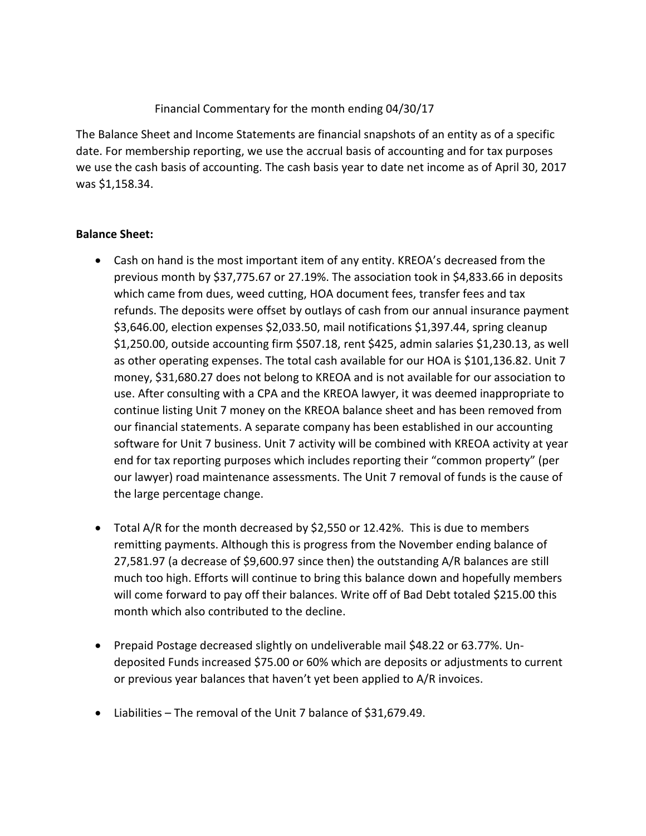## Financial Commentary for the month ending 04/30/17

The Balance Sheet and Income Statements are financial snapshots of an entity as of a specific date. For membership reporting, we use the accrual basis of accounting and for tax purposes we use the cash basis of accounting. The cash basis year to date net income as of April 30, 2017 was \$1,158.34.

## **Balance Sheet:**

- Cash on hand is the most important item of any entity. KREOA's decreased from the previous month by \$37,775.67 or 27.19%. The association took in \$4,833.66 in deposits which came from dues, weed cutting, HOA document fees, transfer fees and tax refunds. The deposits were offset by outlays of cash from our annual insurance payment \$3,646.00, election expenses \$2,033.50, mail notifications \$1,397.44, spring cleanup \$1,250.00, outside accounting firm \$507.18, rent \$425, admin salaries \$1,230.13, as well as other operating expenses. The total cash available for our HOA is \$101,136.82. Unit 7 money, \$31,680.27 does not belong to KREOA and is not available for our association to use. After consulting with a CPA and the KREOA lawyer, it was deemed inappropriate to continue listing Unit 7 money on the KREOA balance sheet and has been removed from our financial statements. A separate company has been established in our accounting software for Unit 7 business. Unit 7 activity will be combined with KREOA activity at year end for tax reporting purposes which includes reporting their "common property" (per our lawyer) road maintenance assessments. The Unit 7 removal of funds is the cause of the large percentage change.
- Total A/R for the month decreased by \$2,550 or 12.42%. This is due to members remitting payments. Although this is progress from the November ending balance of 27,581.97 (a decrease of \$9,600.97 since then) the outstanding A/R balances are still much too high. Efforts will continue to bring this balance down and hopefully members will come forward to pay off their balances. Write off of Bad Debt totaled \$215.00 this month which also contributed to the decline.
- Prepaid Postage decreased slightly on undeliverable mail \$48.22 or 63.77%. Undeposited Funds increased \$75.00 or 60% which are deposits or adjustments to current or previous year balances that haven't yet been applied to A/R invoices.
- Liabilities The removal of the Unit 7 balance of \$31,679.49.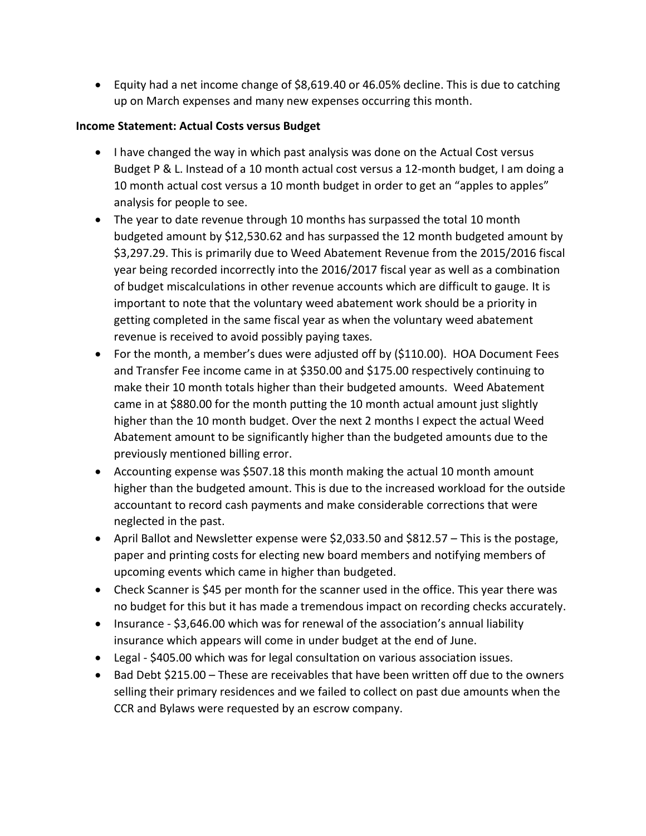• Equity had a net income change of \$8,619.40 or 46.05% decline. This is due to catching up on March expenses and many new expenses occurring this month.

#### **Income Statement: Actual Costs versus Budget**

- I have changed the way in which past analysis was done on the Actual Cost versus Budget P & L. Instead of a 10 month actual cost versus a 12-month budget, I am doing a 10 month actual cost versus a 10 month budget in order to get an "apples to apples" analysis for people to see.
- The year to date revenue through 10 months has surpassed the total 10 month budgeted amount by \$12,530.62 and has surpassed the 12 month budgeted amount by \$3,297.29. This is primarily due to Weed Abatement Revenue from the 2015/2016 fiscal year being recorded incorrectly into the 2016/2017 fiscal year as well as a combination of budget miscalculations in other revenue accounts which are difficult to gauge. It is important to note that the voluntary weed abatement work should be a priority in getting completed in the same fiscal year as when the voluntary weed abatement revenue is received to avoid possibly paying taxes.
- For the month, a member's dues were adjusted off by (\$110.00). HOA Document Fees and Transfer Fee income came in at \$350.00 and \$175.00 respectively continuing to make their 10 month totals higher than their budgeted amounts. Weed Abatement came in at \$880.00 for the month putting the 10 month actual amount just slightly higher than the 10 month budget. Over the next 2 months I expect the actual Weed Abatement amount to be significantly higher than the budgeted amounts due to the previously mentioned billing error.
- Accounting expense was \$507.18 this month making the actual 10 month amount higher than the budgeted amount. This is due to the increased workload for the outside accountant to record cash payments and make considerable corrections that were neglected in the past.
- April Ballot and Newsletter expense were \$2,033.50 and \$812.57 This is the postage, paper and printing costs for electing new board members and notifying members of upcoming events which came in higher than budgeted.
- Check Scanner is \$45 per month for the scanner used in the office. This year there was no budget for this but it has made a tremendous impact on recording checks accurately.
- Insurance \$3,646.00 which was for renewal of the association's annual liability insurance which appears will come in under budget at the end of June.
- Legal \$405.00 which was for legal consultation on various association issues.
- Bad Debt \$215.00 These are receivables that have been written off due to the owners selling their primary residences and we failed to collect on past due amounts when the CCR and Bylaws were requested by an escrow company.